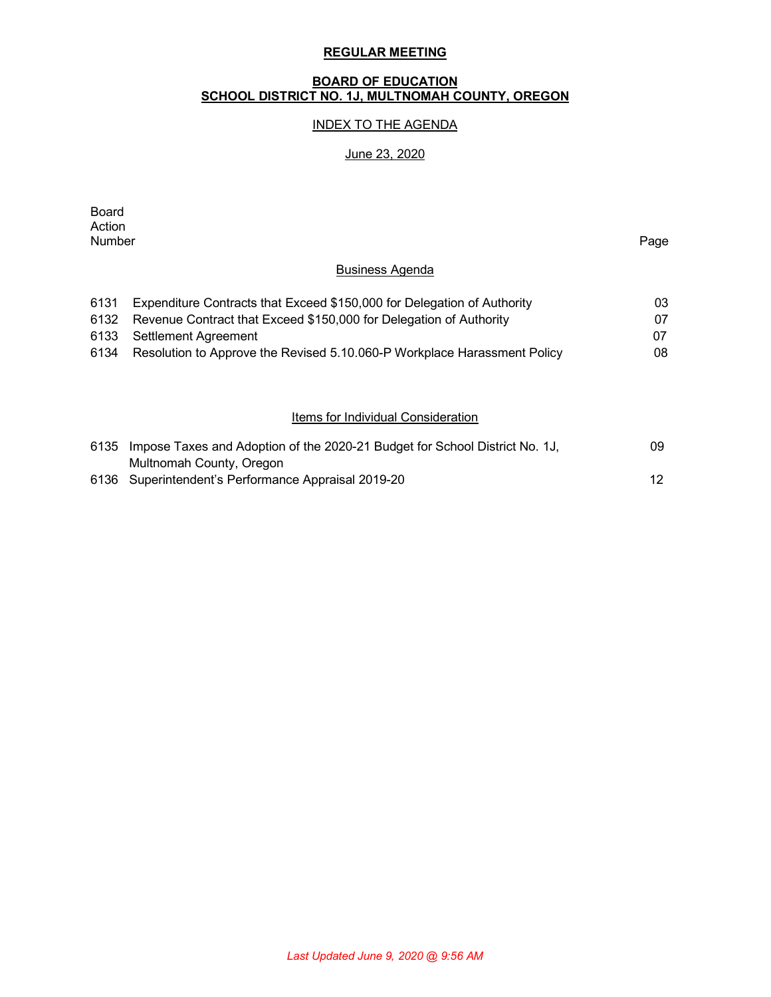#### **REGULAR MEETING**

#### **BOARD OF EDUCATION SCHOOL DISTRICT NO. 1J, MULTNOMAH COUNTY, OREGON**

## INDEX TO THE AGENDA

#### June 23, 2020

Board Action<br>Number Number Page

## Business Agenda

| 6131 | Expenditure Contracts that Exceed \$150,000 for Delegation of Authority  | 03. |
|------|--------------------------------------------------------------------------|-----|
|      | 6132 Revenue Contract that Exceed \$150,000 for Delegation of Authority  | 07. |
|      | 6133 Settlement Agreement                                                | 07  |
| 6134 | Resolution to Approve the Revised 5.10.060-P Workplace Harassment Policy | 08  |

## **Items for Individual Consideration**

| 6135 Impose Taxes and Adoption of the 2020-21 Budget for School District No. 1J, | 09  |
|----------------------------------------------------------------------------------|-----|
| Multnomah County, Oregon                                                         |     |
| 6136 Superintendent's Performance Appraisal 2019-20                              | 12. |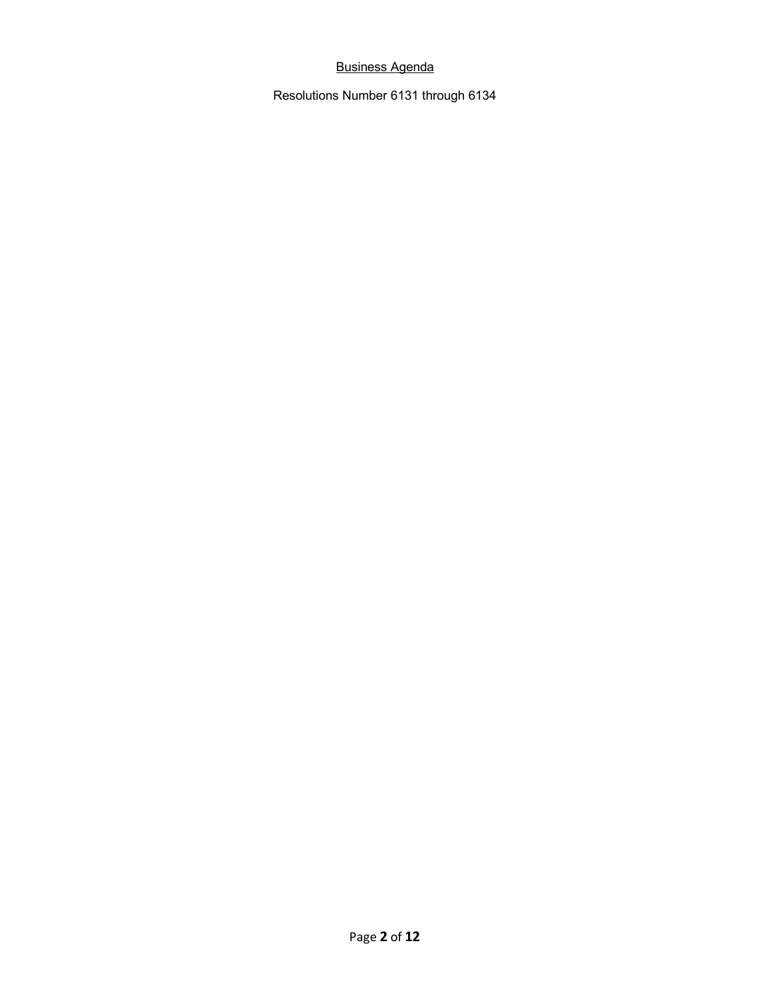# Business Agenda

Resolutions Number 6131 through 6134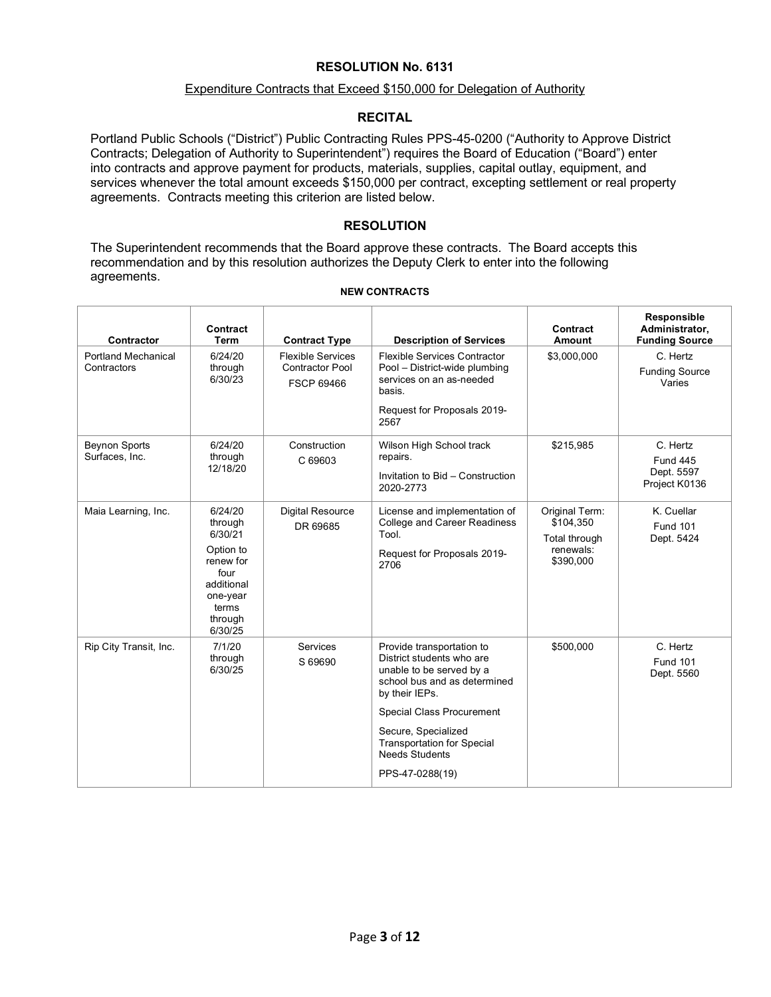#### Expenditure Contracts that Exceed \$150,000 for Delegation of Authority

#### **RECITAL**

Portland Public Schools ("District") Public Contracting Rules PPS-45-0200 ("Authority to Approve District Contracts; Delegation of Authority to Superintendent") requires the Board of Education ("Board") enter into contracts and approve payment for products, materials, supplies, capital outlay, equipment, and services whenever the total amount exceeds \$150,000 per contract, excepting settlement or real property agreements. Contracts meeting this criterion are listed below.

#### **RESOLUTION**

The Superintendent recommends that the Board approve these contracts. The Board accepts this recommendation and by this resolution authorizes the Deputy Clerk to enter into the following agreements.

| Contractor                                | Contract<br><b>Term</b>                                                                                                  | <b>Contract Type</b>                                                    | <b>Description of Services</b>                                                                                                                                                                                                                                                   | Contract<br><b>Amount</b>                                              | Responsible<br>Administrator,<br><b>Funding Source</b>     |
|-------------------------------------------|--------------------------------------------------------------------------------------------------------------------------|-------------------------------------------------------------------------|----------------------------------------------------------------------------------------------------------------------------------------------------------------------------------------------------------------------------------------------------------------------------------|------------------------------------------------------------------------|------------------------------------------------------------|
| <b>Portland Mechanical</b><br>Contractors | 6/24/20<br>through<br>6/30/23                                                                                            | <b>Flexible Services</b><br><b>Contractor Pool</b><br><b>FSCP 69466</b> | <b>Flexible Services Contractor</b><br>Pool - District-wide plumbing<br>services on an as-needed<br>basis.<br>Request for Proposals 2019-<br>2567                                                                                                                                | \$3,000,000                                                            | C. Hertz<br><b>Funding Source</b><br>Varies                |
| <b>Beynon Sports</b><br>Surfaces, Inc.    | 6/24/20<br>through<br>12/18/20                                                                                           | Construction<br>C 69603                                                 | \$215,985<br>Wilson High School track<br>repairs.<br>Invitation to Bid - Construction<br>2020-2773                                                                                                                                                                               |                                                                        | C. Hertz<br><b>Fund 445</b><br>Dept. 5597<br>Project K0136 |
| Maia Learning, Inc.                       | 6/24/20<br>through<br>6/30/21<br>Option to<br>renew for<br>four<br>additional<br>one-year<br>terms<br>through<br>6/30/25 | <b>Digital Resource</b><br>DR 69685                                     | License and implementation of<br><b>College and Career Readiness</b><br>Tool.<br>Request for Proposals 2019-<br>2706                                                                                                                                                             | Original Term:<br>\$104,350<br>Total through<br>renewals:<br>\$390,000 | K. Cuellar<br><b>Fund 101</b><br>Dept. 5424                |
| Rip City Transit, Inc.                    | 7/1/20<br>through<br>6/30/25                                                                                             | Services<br>S 69690                                                     | Provide transportation to<br>District students who are<br>unable to be served by a<br>school bus and as determined<br>by their IEPs.<br><b>Special Class Procurement</b><br>Secure, Specialized<br><b>Transportation for Special</b><br><b>Needs Students</b><br>PPS-47-0288(19) | \$500,000                                                              | C. Hertz<br><b>Fund 101</b><br>Dept. 5560                  |

#### **NEW CONTRACTS**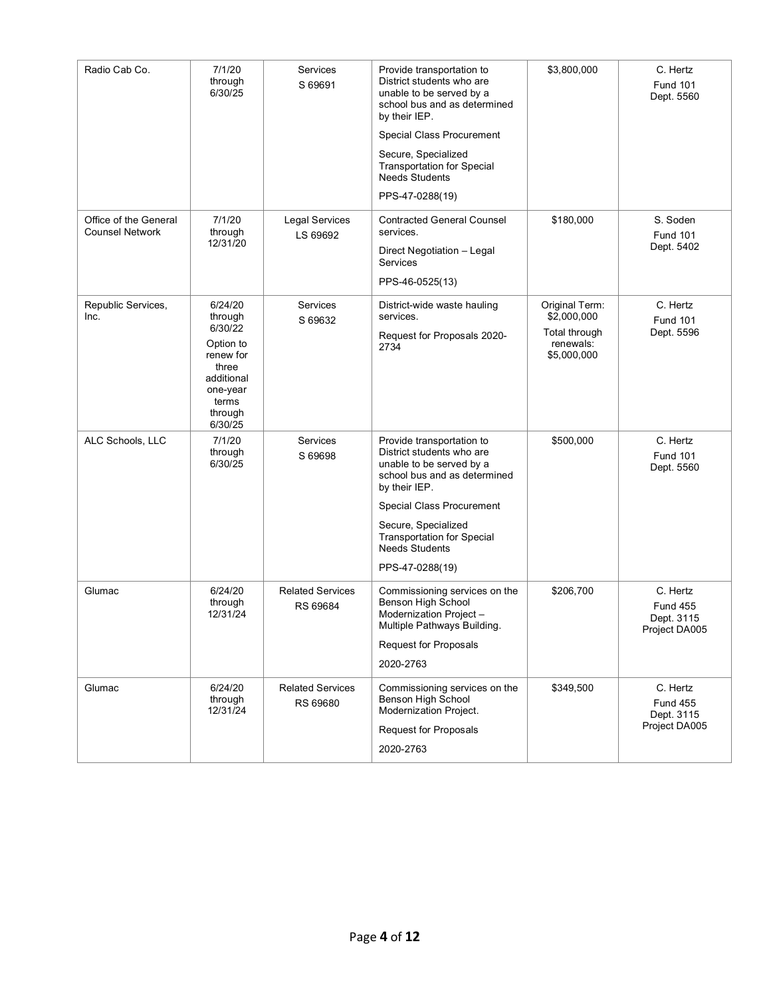| Radio Cab Co.                                   | 7/1/20<br>through<br>6/30/25                                                                                              | Services<br>S 69691                 | Provide transportation to<br>District students who are<br>unable to be served by a<br>school bus and as determined<br>by their IEP.<br>Special Class Procurement<br>Secure, Specialized<br><b>Transportation for Special</b><br><b>Needs Students</b><br>PPS-47-0288(19) | \$3,800,000                                                                | C. Hertz<br><b>Fund 101</b><br>Dept. 5560                  |
|-------------------------------------------------|---------------------------------------------------------------------------------------------------------------------------|-------------------------------------|--------------------------------------------------------------------------------------------------------------------------------------------------------------------------------------------------------------------------------------------------------------------------|----------------------------------------------------------------------------|------------------------------------------------------------|
| Office of the General<br><b>Counsel Network</b> | 7/1/20<br>through<br>12/31/20                                                                                             | <b>Legal Services</b><br>LS 69692   | <b>Contracted General Counsel</b><br>services.<br>Direct Negotiation - Legal<br><b>Services</b><br>PPS-46-0525(13)                                                                                                                                                       | \$180,000                                                                  | S. Soden<br><b>Fund 101</b><br>Dept. 5402                  |
| Republic Services,<br>Inc.                      | 6/24/20<br>through<br>6/30/22<br>Option to<br>renew for<br>three<br>additional<br>one-year<br>terms<br>through<br>6/30/25 | Services<br>S 69632                 | District-wide waste hauling<br>services.<br>Request for Proposals 2020-<br>2734                                                                                                                                                                                          | Original Term:<br>\$2,000,000<br>Total through<br>renewals:<br>\$5,000,000 | C. Hertz<br><b>Fund 101</b><br>Dept. 5596                  |
| ALC Schools, LLC                                | 7/1/20<br>through<br>6/30/25                                                                                              | Services<br>S 69698                 | Provide transportation to<br>District students who are<br>unable to be served by a<br>school bus and as determined<br>by their IEP.<br>Special Class Procurement<br>Secure, Specialized<br><b>Transportation for Special</b><br><b>Needs Students</b><br>PPS-47-0288(19) | \$500,000                                                                  | C. Hertz<br><b>Fund 101</b><br>Dept. 5560                  |
| Glumac                                          | 6/24/20<br>through<br>12/31/24                                                                                            | <b>Related Services</b><br>RS 69684 | Commissioning services on the<br>Benson High School<br>Modernization Project -<br>Multiple Pathways Building.<br><b>Request for Proposals</b><br>2020-2763                                                                                                               | \$206,700                                                                  | C. Hertz<br><b>Fund 455</b><br>Dept. 3115<br>Project DA005 |
| Glumac                                          | 6/24/20<br>through<br>12/31/24                                                                                            | <b>Related Services</b><br>RS 69680 | Commissioning services on the<br>Benson High School<br>Modernization Project.<br><b>Request for Proposals</b><br>2020-2763                                                                                                                                               | \$349,500                                                                  | C. Hertz<br><b>Fund 455</b><br>Dept. 3115<br>Project DA005 |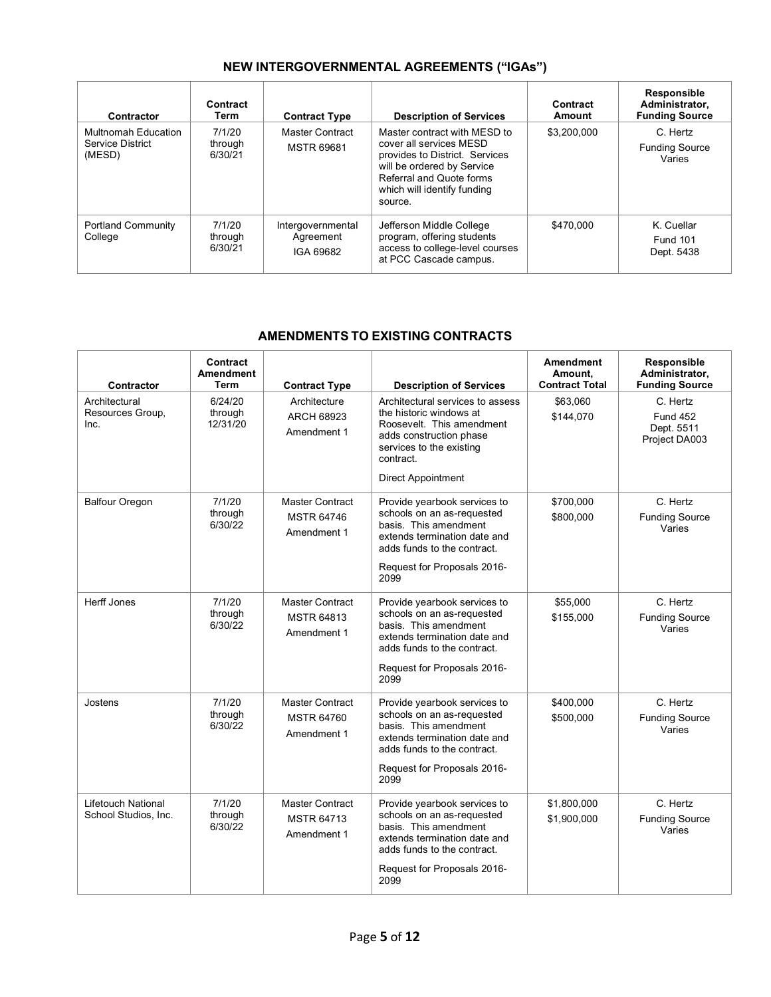# **NEW INTERGOVERNMENTAL AGREEMENTS ("IGAs")**

| Contractor                                               | Contract<br>Term             | <b>Contract Type</b>                        | <b>Description of Services</b>                                                                                                                                                                | Contract<br>Amount | Responsible<br>Administrator,<br><b>Funding Source</b> |
|----------------------------------------------------------|------------------------------|---------------------------------------------|-----------------------------------------------------------------------------------------------------------------------------------------------------------------------------------------------|--------------------|--------------------------------------------------------|
| Multnomah Education<br><b>Service District</b><br>(MESD) | 7/1/20<br>through<br>6/30/21 | Master Contract<br><b>MSTR 69681</b>        | Master contract with MESD to<br>cover all services MESD<br>provides to District. Services<br>will be ordered by Service<br>Referral and Quote forms<br>which will identify funding<br>source. | \$3,200,000        | C. Hertz<br><b>Funding Source</b><br>Varies            |
| <b>Portland Community</b><br>College                     | 7/1/20<br>through<br>6/30/21 | Intergovernmental<br>Agreement<br>IGA 69682 | Jefferson Middle College<br>program, offering students<br>access to college-level courses<br>at PCC Cascade campus.                                                                           | \$470,000          | K. Cuellar<br><b>Fund 101</b><br>Dept. 5438            |

# **AMENDMENTS TO EXISTING CONTRACTS**

| Contractor                                        | Contract<br><b>Amendment</b><br><b>Term</b> | <b>Contract Type</b>                                       | <b>Description of Services</b>                                                                                                                                                            | <b>Amendment</b><br>Amount.<br><b>Contract Total</b> | Responsible<br>Administrator,<br><b>Funding Source</b>     |
|---------------------------------------------------|---------------------------------------------|------------------------------------------------------------|-------------------------------------------------------------------------------------------------------------------------------------------------------------------------------------------|------------------------------------------------------|------------------------------------------------------------|
| Architectural<br>Resources Group,<br>Inc.         | 6/24/20<br>through<br>12/31/20              | Architecture<br><b>ARCH 68923</b><br>Amendment 1           | Architectural services to assess<br>the historic windows at<br>Roosevelt. This amendment<br>adds construction phase<br>services to the existing<br>contract.<br>Direct Appointment        | \$63,060<br>\$144,070                                | C. Hertz<br><b>Fund 452</b><br>Dept. 5511<br>Project DA003 |
| <b>Balfour Oregon</b>                             | 7/1/20<br>through<br>6/30/22                | Master Contract<br><b>MSTR 64746</b><br>Amendment 1        | Provide yearbook services to<br>schools on an as-requested<br>basis. This amendment<br>extends termination date and<br>adds funds to the contract.<br>Request for Proposals 2016-<br>2099 | \$700,000<br>\$800,000                               | C. Hertz<br><b>Funding Source</b><br>Varies                |
| <b>Herff Jones</b>                                | 7/1/20<br>through<br>6/30/22                | <b>Master Contract</b><br><b>MSTR 64813</b><br>Amendment 1 | Provide yearbook services to<br>schools on an as-requested<br>basis. This amendment<br>extends termination date and<br>adds funds to the contract.<br>Request for Proposals 2016-<br>2099 | \$55.000<br>\$155,000                                | C. Hertz<br><b>Funding Source</b><br>Varies                |
| Jostens                                           | 7/1/20<br>through<br>6/30/22                | <b>Master Contract</b><br><b>MSTR 64760</b><br>Amendment 1 | Provide yearbook services to<br>schools on an as-requested<br>basis. This amendment<br>extends termination date and<br>adds funds to the contract.<br>Request for Proposals 2016-<br>2099 | \$400,000<br>\$500,000                               | C. Hertz<br><b>Funding Source</b><br>Varies                |
| <b>Lifetouch National</b><br>School Studios, Inc. | 7/1/20<br>through<br>6/30/22                | <b>Master Contract</b><br><b>MSTR 64713</b><br>Amendment 1 | Provide yearbook services to<br>schools on an as-requested<br>basis. This amendment<br>extends termination date and<br>adds funds to the contract.<br>Request for Proposals 2016-<br>2099 | \$1,800,000<br>\$1,900,000                           | C. Hertz<br><b>Funding Source</b><br>Varies                |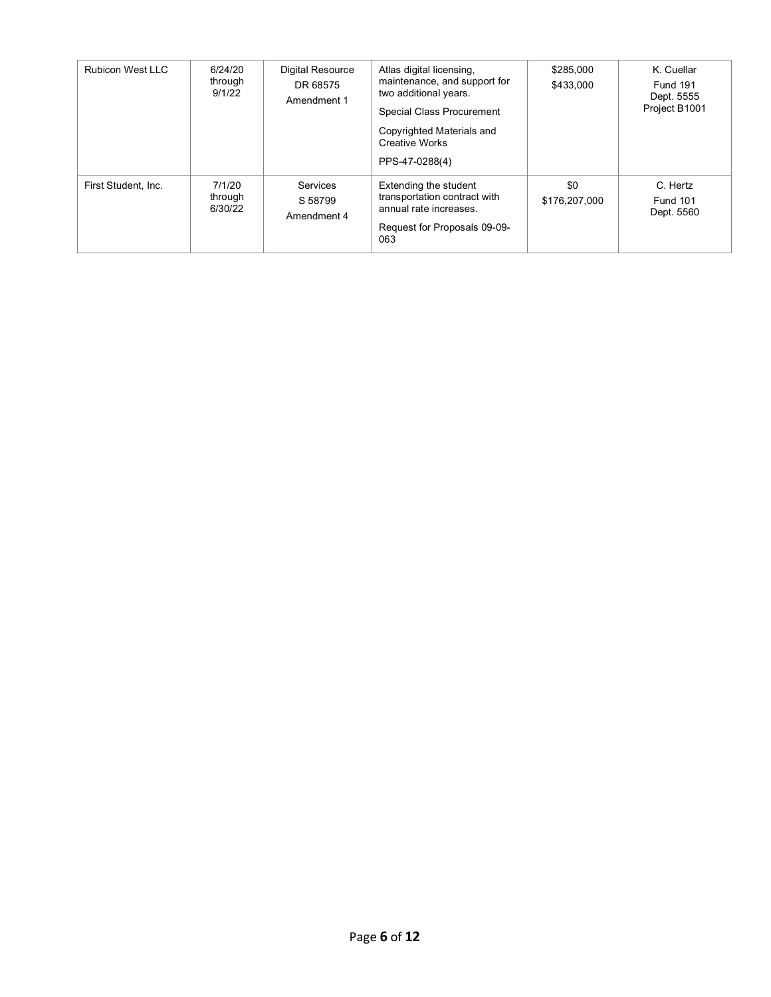| <b>Rubicon West LLC</b> | 6/24/20<br>through<br>9/1/22 | <b>Digital Resource</b><br>DR 68575<br>Amendment 1 | Atlas digital licensing,<br>maintenance, and support for<br>two additional years.<br>Special Class Procurement<br>Copyrighted Materials and<br><b>Creative Works</b><br>PPS-47-0288(4) | \$285,000<br>\$433,000 | K. Cuellar<br><b>Fund 191</b><br>Dept. 5555<br>Project B1001 |
|-------------------------|------------------------------|----------------------------------------------------|----------------------------------------------------------------------------------------------------------------------------------------------------------------------------------------|------------------------|--------------------------------------------------------------|
| First Student, Inc.     | 7/1/20<br>through<br>6/30/22 | Services<br>S 58799<br>Amendment 4                 | Extending the student<br>transportation contract with<br>annual rate increases.<br>Request for Proposals 09-09-<br>063                                                                 | \$0<br>\$176,207,000   | C. Hertz<br><b>Fund 101</b><br>Dept. 5560                    |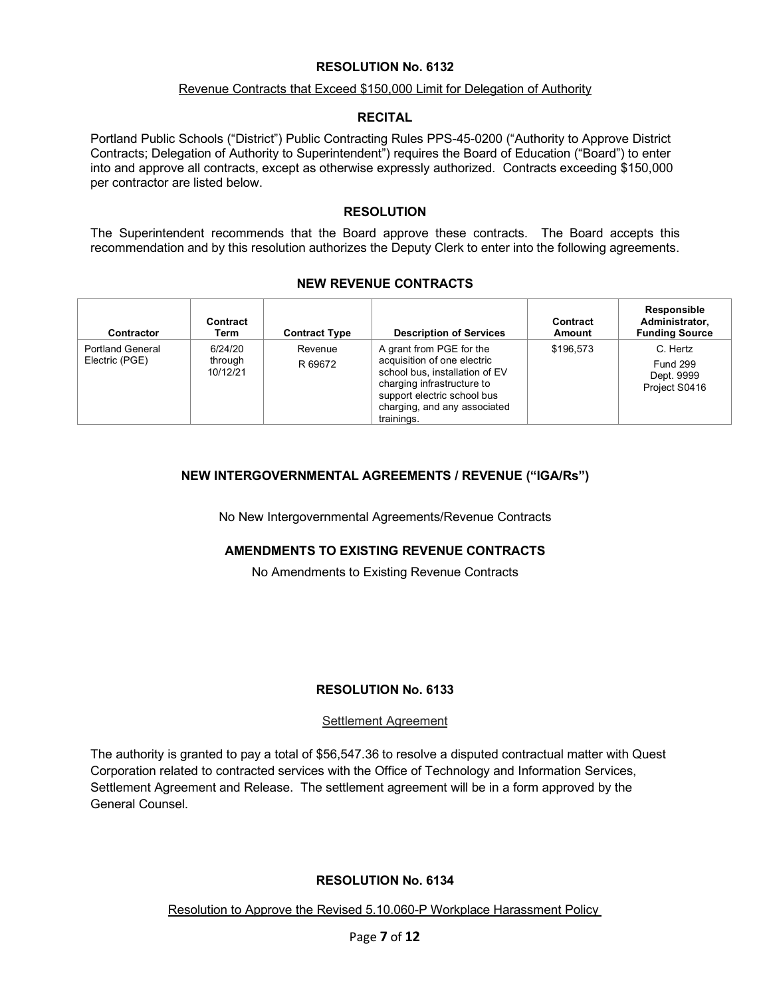#### Revenue Contracts that Exceed \$150,000 Limit for Delegation of Authority

#### **RECITAL**

Portland Public Schools ("District") Public Contracting Rules PPS-45-0200 ("Authority to Approve District Contracts; Delegation of Authority to Superintendent") requires the Board of Education ("Board") to enter into and approve all contracts, except as otherwise expressly authorized. Contracts exceeding \$150,000 per contractor are listed below.

## **RESOLUTION**

The Superintendent recommends that the Board approve these contracts. The Board accepts this recommendation and by this resolution authorizes the Deputy Clerk to enter into the following agreements.

## **NEW REVENUE CONTRACTS**

| <b>Contractor</b>                         | Contract<br>Term               | <b>Contract Type</b> | <b>Description of Services</b>                                                                                                                                                                       | Contract<br>Amount | <b>Responsible</b><br>Administrator.<br><b>Funding Source</b> |
|-------------------------------------------|--------------------------------|----------------------|------------------------------------------------------------------------------------------------------------------------------------------------------------------------------------------------------|--------------------|---------------------------------------------------------------|
| <b>Portland General</b><br>Electric (PGE) | 6/24/20<br>through<br>10/12/21 | Revenue<br>R 69672   | A grant from PGE for the<br>acquisition of one electric<br>school bus, installation of EV<br>charging infrastructure to<br>support electric school bus<br>charging, and any associated<br>trainings. | \$196.573          | C. Hertz<br><b>Fund 299</b><br>Dept. 9999<br>Project S0416    |

# **NEW INTERGOVERNMENTAL AGREEMENTS / REVENUE ("IGA/Rs")**

No New Intergovernmental Agreements/Revenue Contracts

# **AMENDMENTS TO EXISTING REVENUE CONTRACTS**

No Amendments to Existing Revenue Contracts

# **RESOLUTION No. 6133**

## Settlement Agreement

The authority is granted to pay a total of \$56,547.36 to resolve a disputed contractual matter with Quest Corporation related to contracted services with the Office of Technology and Information Services, Settlement Agreement and Release. The settlement agreement will be in a form approved by the General Counsel.

## **RESOLUTION No. 6134**

Resolution to Approve the Revised 5.10.060-P Workplace Harassment Policy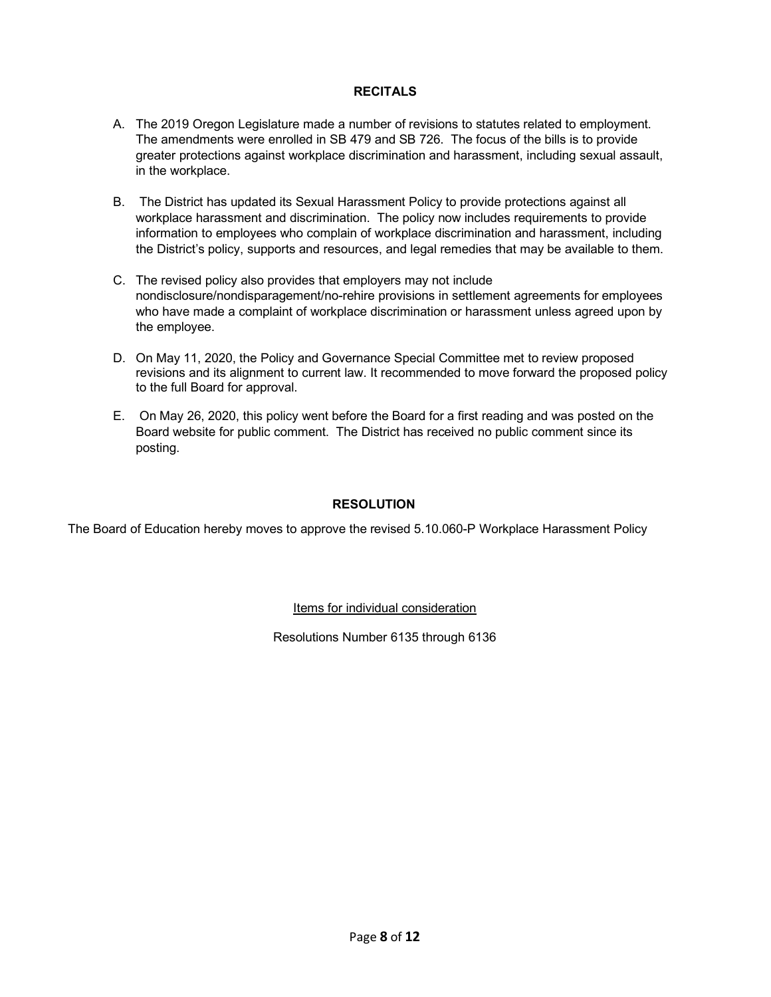## **RECITALS**

- A. The 2019 Oregon Legislature made a number of revisions to statutes related to employment. The amendments were enrolled in SB 479 and SB 726. The focus of the bills is to provide greater protections against workplace discrimination and harassment, including sexual assault, in the workplace.
- B. The District has updated its Sexual Harassment Policy to provide protections against all workplace harassment and discrimination. The policy now includes requirements to provide information to employees who complain of workplace discrimination and harassment, including the District's policy, supports and resources, and legal remedies that may be available to them.
- C. The revised policy also provides that employers may not include nondisclosure/nondisparagement/no-rehire provisions in settlement agreements for employees who have made a complaint of workplace discrimination or harassment unless agreed upon by the employee.
- D. On May 11, 2020, the Policy and Governance Special Committee met to review proposed revisions and its alignment to current law. It recommended to move forward the proposed policy to the full Board for approval.
- E. On May 26, 2020, this policy went before the Board for a first reading and was posted on the Board website for public comment. The District has received no public comment since its posting.

## **RESOLUTION**

The Board of Education hereby moves to approve the revised 5.10.060-P Workplace Harassment Policy

Items for individual consideration

Resolutions Number 6135 through 6136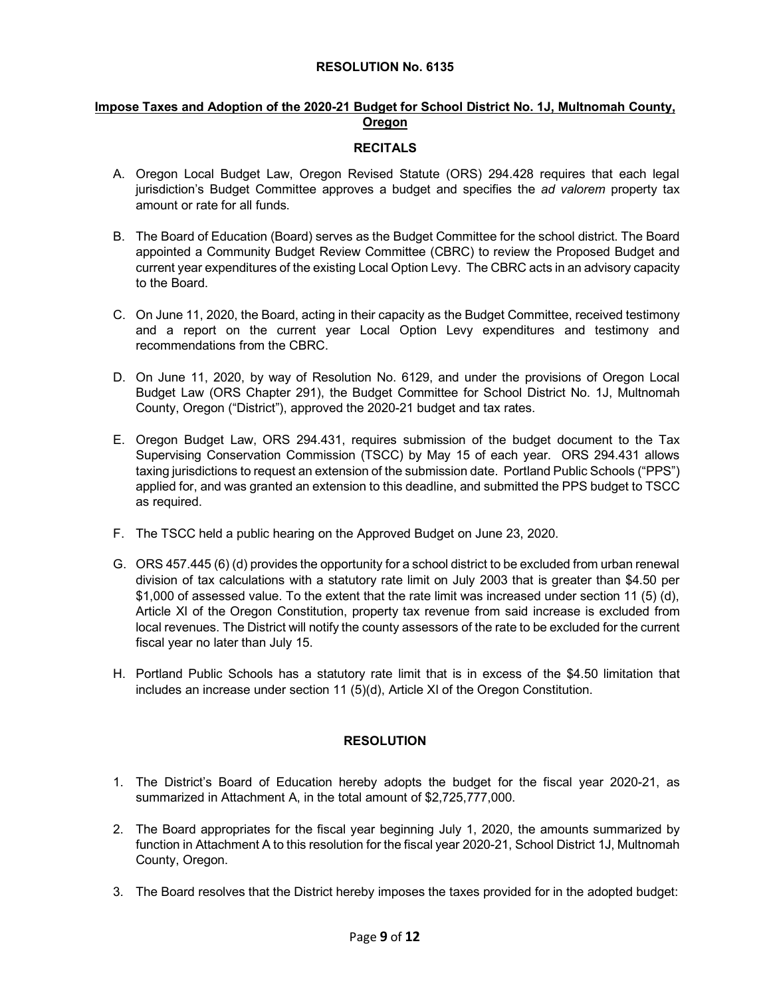## **Impose Taxes and Adoption of the 2020-21 Budget for School District No. 1J, Multnomah County, Oregon**

## **RECITALS**

- A. Oregon Local Budget Law, Oregon Revised Statute (ORS) 294.428 requires that each legal jurisdiction's Budget Committee approves a budget and specifies the *ad valorem* property tax amount or rate for all funds.
- B. The Board of Education (Board) serves as the Budget Committee for the school district. The Board appointed a Community Budget Review Committee (CBRC) to review the Proposed Budget and current year expenditures of the existing Local Option Levy. The CBRC acts in an advisory capacity to the Board.
- C. On June 11, 2020, the Board, acting in their capacity as the Budget Committee, received testimony and a report on the current year Local Option Levy expenditures and testimony and recommendations from the CBRC.
- D. On June 11, 2020, by way of Resolution No. 6129, and under the provisions of Oregon Local Budget Law (ORS Chapter 291), the Budget Committee for School District No. 1J, Multnomah County, Oregon ("District"), approved the 2020-21 budget and tax rates.
- E. Oregon Budget Law, ORS 294.431, requires submission of the budget document to the Tax Supervising Conservation Commission (TSCC) by May 15 of each year. ORS 294.431 allows taxing jurisdictions to request an extension of the submission date. Portland Public Schools ("PPS") applied for, and was granted an extension to this deadline, and submitted the PPS budget to TSCC as required.
- F. The TSCC held a public hearing on the Approved Budget on June 23, 2020.
- G. ORS 457.445 (6) (d) provides the opportunity for a school district to be excluded from urban renewal division of tax calculations with a statutory rate limit on July 2003 that is greater than \$4.50 per \$1,000 of assessed value. To the extent that the rate limit was increased under section 11 (5) (d), Article XI of the Oregon Constitution, property tax revenue from said increase is excluded from local revenues. The District will notify the county assessors of the rate to be excluded for the current fiscal year no later than July 15.
- H. Portland Public Schools has a statutory rate limit that is in excess of the \$4.50 limitation that includes an increase under section 11 (5)(d), Article XI of the Oregon Constitution.

# **RESOLUTION**

- 1. The District's Board of Education hereby adopts the budget for the fiscal year 2020-21, as summarized in Attachment A, in the total amount of \$2,725,777,000.
- 2. The Board appropriates for the fiscal year beginning July 1, 2020, the amounts summarized by function in Attachment A to this resolution for the fiscal year 2020-21, School District 1J, Multnomah County, Oregon.
- 3. The Board resolves that the District hereby imposes the taxes provided for in the adopted budget: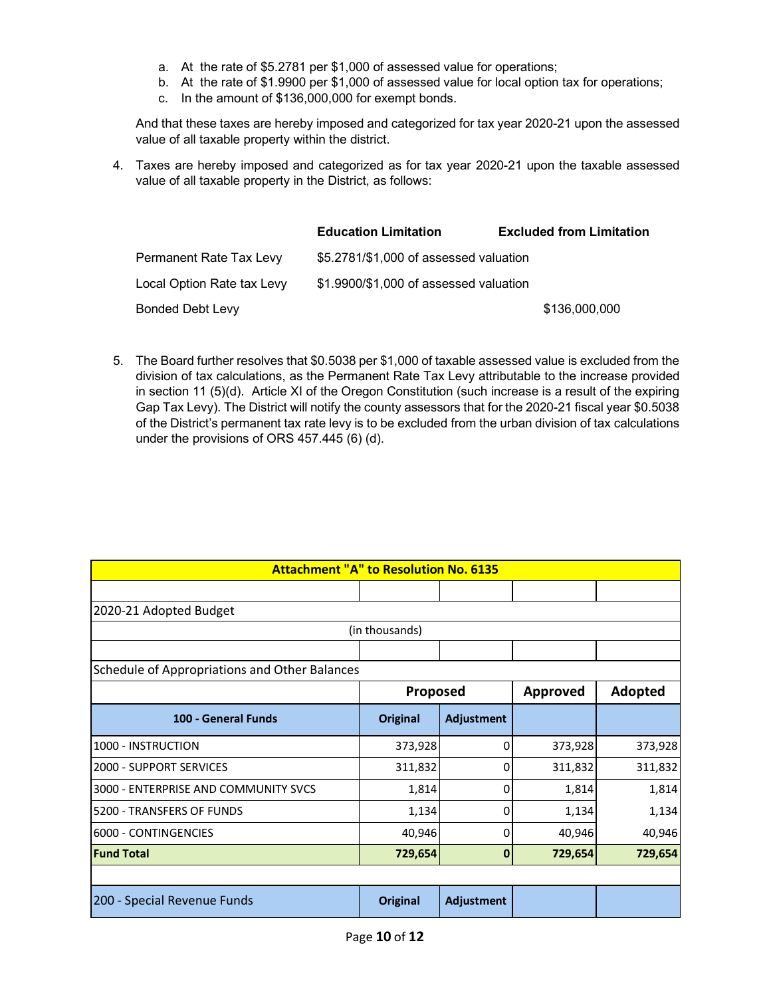- a. At the rate of \$5.2781 per \$1,000 of assessed value for operations;
- b. At the rate of \$1.9900 per \$1,000 of assessed value for local option tax for operations;
- c. In the amount of \$136,000,000 for exempt bonds.

And that these taxes are hereby imposed and categorized for tax year 2020-21 upon the assessed value of all taxable property within the district.

4. Taxes are hereby imposed and categorized as for tax year 2020-21 upon the taxable assessed value of all taxable property in the District, as follows:

|                            | <b>Education Limitation</b>            | <b>Excluded from Limitation</b> |
|----------------------------|----------------------------------------|---------------------------------|
| Permanent Rate Tax Levy    | \$5.2781/\$1,000 of assessed valuation |                                 |
| Local Option Rate tax Levy | \$1.9900/\$1,000 of assessed valuation |                                 |
| <b>Bonded Debt Levy</b>    |                                        | \$136,000,000                   |

5. The Board further resolves that \$0.5038 per \$1,000 of taxable assessed value is excluded from the division of tax calculations, as the Permanent Rate Tax Levy attributable to the increase provided in section 11 (5)(d). Article XI of the Oregon Constitution (such increase is a result of the expiring Gap Tax Levy). The District will notify the county assessors that for the 2020-21 fiscal year \$0.5038 of the District's permanent tax rate levy is to be excluded from the urban division of tax calculations under the provisions of ORS 457.445 (6) (d).

| <b>Attachment "A" to Resolution No. 6135</b>  |                |            |                 |         |  |  |  |  |
|-----------------------------------------------|----------------|------------|-----------------|---------|--|--|--|--|
|                                               |                |            |                 |         |  |  |  |  |
| 2020-21 Adopted Budget                        |                |            |                 |         |  |  |  |  |
|                                               | (in thousands) |            |                 |         |  |  |  |  |
|                                               |                |            |                 |         |  |  |  |  |
| Schedule of Appropriations and Other Balances |                |            |                 |         |  |  |  |  |
|                                               | Proposed       |            | <b>Approved</b> | Adopted |  |  |  |  |
| 100 - General Funds                           | Original       | Adjustment |                 |         |  |  |  |  |
| 1000 - INSTRUCTION                            | 373,928        | 0          | 373,928         | 373,928 |  |  |  |  |
| 2000 - SUPPORT SERVICES                       | 311,832        | 0          | 311,832         | 311,832 |  |  |  |  |
| 3000 - ENTERPRISE AND COMMUNITY SVCS          | 1,814          | 0          | 1,814           | 1,814   |  |  |  |  |
| 5200 - TRANSFERS OF FUNDS                     | 1,134          | 0          | 1,134           | 1,134   |  |  |  |  |
| 6000 - CONTINGENCIES                          | 40,946         | 0          | 40,946          | 40,946  |  |  |  |  |
| <b>Fund Total</b>                             | 729,654        | 0          | 729,654         | 729,654 |  |  |  |  |
|                                               |                |            |                 |         |  |  |  |  |
| 200 - Special Revenue Funds                   | Original       | Adjustment |                 |         |  |  |  |  |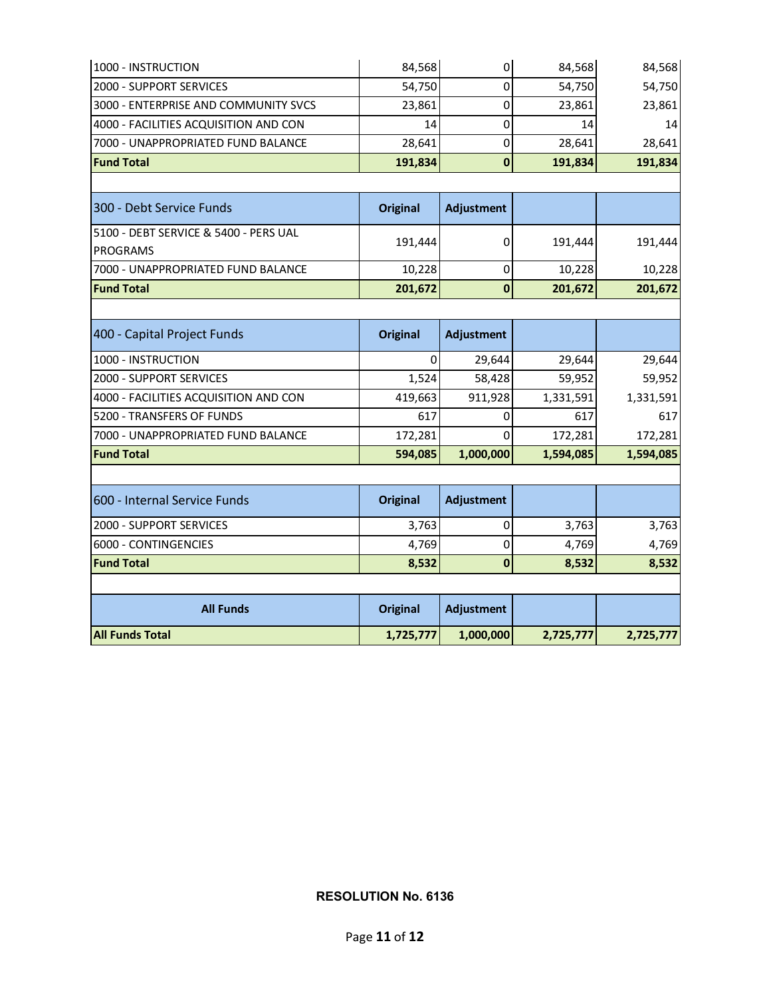| <b>All Funds Total</b>                                   | 1,725,777       | 1,000,000    | 2,725,777 | 2,725,777 |
|----------------------------------------------------------|-----------------|--------------|-----------|-----------|
| <b>All Funds</b>                                         | <b>Original</b> | Adjustment   |           |           |
| <b>Fund Total</b>                                        | 8,532           | $\mathbf{0}$ | 8,532     | 8,532     |
| 6000 - CONTINGENCIES                                     | 4,769           | 0            | 4,769     | 4,769     |
| 2000 - SUPPORT SERVICES                                  | 3,763           | $\mathbf 0$  | 3,763     | 3,763     |
| 600 - Internal Service Funds                             | <b>Original</b> | Adjustment   |           |           |
| <b>Fund Total</b>                                        | 594,085         | 1,000,000    | 1,594,085 | 1,594,085 |
| 7000 - UNAPPROPRIATED FUND BALANCE                       | 172,281         | $\Omega$     | 172,281   | 172,281   |
| 5200 - TRANSFERS OF FUNDS                                | 617             | 0            | 617       | 617       |
| 4000 - FACILITIES ACQUISITION AND CON                    | 419,663         | 911,928      | 1,331,591 | 1,331,591 |
| 2000 - SUPPORT SERVICES                                  | 1,524           | 58,428       | 59,952    | 59,952    |
| 1000 - INSTRUCTION                                       | 0               | 29,644       | 29,644    | 29,644    |
| 400 - Capital Project Funds                              | <b>Original</b> | Adjustment   |           |           |
| <b>Fund Total</b>                                        | 201,672         | $\bf{0}$     | 201,672   | 201,672   |
| 7000 - UNAPPROPRIATED FUND BALANCE                       | 10,228          | $\pmb{0}$    | 10,228    | 10,228    |
| 5100 - DEBT SERVICE & 5400 - PERS UAL<br><b>PROGRAMS</b> | 191,444         | 0            | 191,444   | 191,444   |
| 300 - Debt Service Funds                                 | <b>Original</b> | Adjustment   |           |           |
| <b>Fund Total</b>                                        | 191,834         | $\bf{0}$     | 191,834   | 191,834   |
| 7000 - UNAPPROPRIATED FUND BALANCE                       | 28,641          | 0            | 28,641    | 28,641    |
| 4000 - FACILITIES ACQUISITION AND CON                    | 14              | 0            | 14        | 14        |
| 3000 - ENTERPRISE AND COMMUNITY SVCS                     | 23,861          | 0            | 23,861    | 23,861    |
| 2000 - SUPPORT SERVICES                                  | 54,750          | 0            | 54,750    | 54,750    |
| 1000 - INSTRUCTION                                       | 84,568          | $\mathbf 0$  | 84,568    | 84,568    |